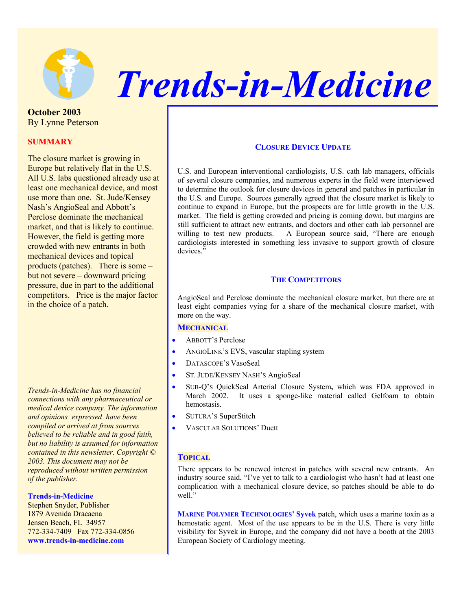

# *Trends-in-Medicine*

**October 2003**  By Lynne Peterson

# **SUMMARY**

The closure market is growing in Europe but relatively flat in the U.S. All U.S. labs questioned already use at least one mechanical device, and most use more than one. St. Jude/Kensey Nash's AngioSeal and Abbott's Perclose dominate the mechanical market, and that is likely to continue. However, the field is getting more crowded with new entrants in both mechanical devices and topical products (patches). There is some – but not severe – downward pricing pressure, due in part to the additional competitors. Price is the major factor in the choice of a patch.

*Trends-in-Medicine has no financial connections with any pharmaceutical or medical device company. The information and opinions expressed have been compiled or arrived at from sources believed to be reliable and in good faith, but no liability is assumed for information contained in this newsletter. Copyright © 2003. This document may not be reproduced without written permission of the publisher.* 

#### **Trends-in-Medicine**

Stephen Snyder, Publisher 1879 Avenida Dracaena Jensen Beach, FL 34957 772-334-7409 Fax 772-334-0856 **www.trends-in-medicine.com**

# **CLOSURE DEVICE UPDATE**

U.S. and European interventional cardiologists, U.S. cath lab managers, officials of several closure companies, and numerous experts in the field were interviewed to determine the outlook for closure devices in general and patches in particular in the U.S. and Europe. Sources generally agreed that the closure market is likely to continue to expand in Europe, but the prospects are for little growth in the U.S. market. The field is getting crowded and pricing is coming down, but margins are still sufficient to attract new entrants, and doctors and other cath lab personnel are willing to test new products. A European source said, "There are enough cardiologists interested in something less invasive to support growth of closure devices."

# **THE COMPETITORS**

AngioSeal and Perclose dominate the mechanical closure market, but there are at least eight companies vying for a share of the mechanical closure market, with more on the way.

### **MECHANICAL**

- ABBOTT'S Perclose
- ANGIOLINK'S EVS, vascular stapling system
- DATASCOPE'S VasoSeal
- ST. JUDE/KENSEY NASH'S AngioSeal
- SUB-Q'S QuickSeal Arterial Closure System**,** which was FDA approved in March 2002. It uses a sponge-like material called Gelfoam to obtain hemostasis.
- SUTURA'S SuperStitch
- VASCULAR SOLUTIONS' Duett

# **TOPICAL**

There appears to be renewed interest in patches with several new entrants. An industry source said, "I've yet to talk to a cardiologist who hasn't had at least one complication with a mechanical closure device, so patches should be able to do well."

**MARINE POLYMER TECHNOLOGIES' Syvek** patch, which uses a marine toxin as a hemostatic agent. Most of the use appears to be in the U.S. There is very little visibility for Syvek in Europe, and the company did not have a booth at the 2003 European Society of Cardiology meeting.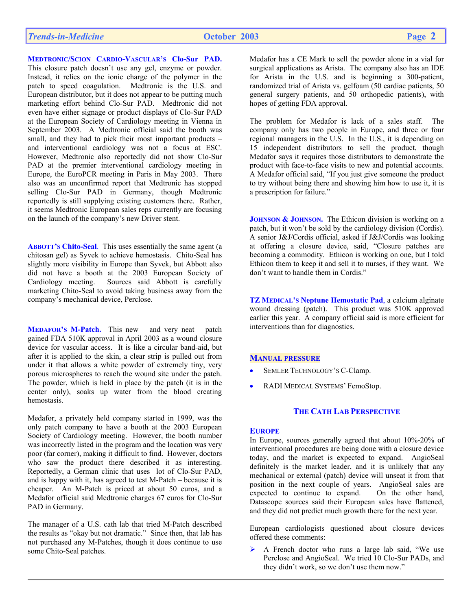# **MEDTRONIC/SCION CARDIO-VASCULAR'S Clo-Sur PAD.**

This closure patch doesn't use any gel, enzyme or powder. Instead, it relies on the ionic charge of the polymer in the patch to speed coagulation. Medtronic is the U.S. and European distributor, but it does not appear to be putting much marketing effort behind Clo-Sur PAD. Medtronic did not even have either signage or product displays of Clo-Sur PAD at the European Society of Cardiology meeting in Vienna in September 2003. A Medtronic official said the booth was small, and they had to pick their most important products – and interventional cardiology was not a focus at ESC. However, Medtronic also reportedly did not show Clo-Sur PAD at the premier interventional cardiology meeting in Europe, the EuroPCR meeting in Paris in May 2003. There also was an unconfirmed report that Medtronic has stopped selling Clo-Sur PAD in Germany, though Medtronic reportedly is still supplying existing customers there. Rather, it seems Medtronic European sales reps currently are focusing on the launch of the company's new Driver stent.

**ABBOTT'S Chito-Seal**. This uses essentially the same agent (a chitosan gel) as Syvek to achieve hemostasis. Chito-Seal has slightly more visibility in Europe than Syvek, but Abbott also did not have a booth at the 2003 European Society of Cardiology meeting. Sources said Abbott is carefully marketing Chito-Seal to avoid taking business away from the company's mechanical device, Perclose.

**MEDAFOR'S M-Patch.** This new – and very neat – patch gained FDA 510K approval in April 2003 as a wound closure device for vascular access. It is like a circular band-aid, but after it is applied to the skin, a clear strip is pulled out from under it that allows a white powder of extremely tiny, very porous microspheres to reach the wound site under the patch. The powder, which is held in place by the patch (it is in the center only), soaks up water from the blood creating hemostasis.

Medafor, a privately held company started in 1999, was the only patch company to have a booth at the 2003 European Society of Cardiology meeting. However, the booth number was incorrectly listed in the program and the location was very poor (far corner), making it difficult to find. However, doctors who saw the product there described it as interesting. Reportedly, a German clinic that uses lot of Clo-Sur PAD, and is happy with it, has agreed to test M-Patch – because it is cheaper. An M-Patch is priced at about 50 euros, and a Medafor official said Medtronic charges 67 euros for Clo-Sur PAD in Germany.

The manager of a U.S. cath lab that tried M-Patch described the results as "okay but not dramatic."Since then, that lab has not purchased any M-Patches, though it does continue to use some Chito-Seal patches.

Medafor has a CE Mark to sell the powder alone in a vial for surgical applications as Arista. The company also has an IDE for Arista in the U.S. and is beginning a 300-patient, randomized trial of Arista vs. gelfoam (50 cardiac patients, 50 general surgery patients, and 50 orthopedic patients), with hopes of getting FDA approval.

The problem for Medafor is lack of a sales staff. The company only has two people in Europe, and three or four regional managers in the U.S. In the U.S., it is depending on 15 independent distributors to sell the product, though Medafor says it requires those distributors to demonstrate the product with face-to-face visits to new and potential accounts. A Medafor official said, "If you just give someone the product to try without being there and showing him how to use it, it is a prescription for failure."

**JOHNSON & JOHNSON.** The Ethicon division is working on a patch, but it won't be sold by the cardiology division (Cordis). A senior J&J/Cordis official, asked if J&J/Cordis was looking at offering a closure device, said, "Closure patches are becoming a commodity. Ethicon is working on one, but I told Ethicon them to keep it and sell it to nurses, if they want. We don't want to handle them in Cordis."

**TZ MEDICAL'S Neptune Hemostatic Pad**, a calcium alginate wound dressing (patch). This product was 510K approved earlier this year. A company official said is more efficient for interventions than for diagnostics.

# **MANUAL PRESSURE**

- SEMLER TECHNOLOGY'S C-Clamp.
- RADI MEDICAL SYSTEMS' FemoStop.

# **THE CATH LAB PERSPECTIVE**

### **EUROPE**

In Europe, sources generally agreed that about 10%-20% of interventional procedures are being done with a closure device today, and the market is expected to expand. AngioSeal definitely is the market leader, and it is unlikely that any mechanical or external (patch) device will unseat it from that position in the next couple of years. AngioSeal sales are expected to continue to expand. On the other hand, expected to continue to expand. Datascope sources said their European sales have flattened, and they did not predict much growth there for the next year.

European cardiologists questioned about closure devices offered these comments:

 $\triangleright$  A French doctor who runs a large lab said, "We use Perclose and AngioSeal. We tried 10 Clo-Sur PADs, and they didn't work, so we don't use them now."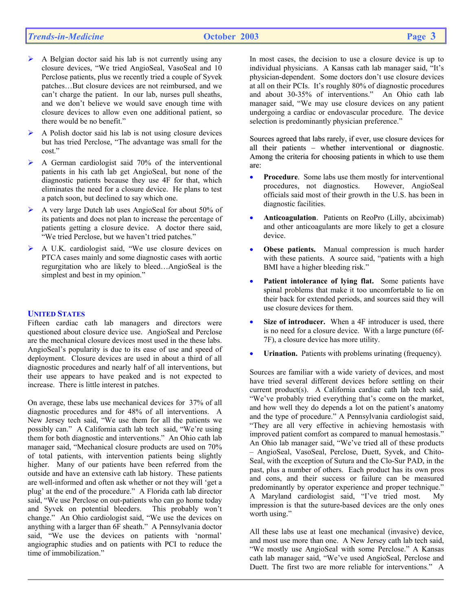# *Trends-in-Medicine* **October 2003 Page 3**

- ¾ A Belgian doctor said his lab is not currently using any closure devices, "We tried AngioSeal, VasoSeal and 10 Perclose patients, plus we recently tried a couple of Syvek patches…But closure devices are not reimbursed, and we can't charge the patient. In our lab, nurses pull sheaths, and we don't believe we would save enough time with closure devices to allow even one additional patient, so there would be no benefit."
- ¾ A Polish doctor said his lab is not using closure devices but has tried Perclose, "The advantage was small for the cost."
- ¾ A German cardiologist said 70% of the interventional patients in his cath lab get AngioSeal, but none of the diagnostic patients because they use 4F for that, which eliminates the need for a closure device. He plans to test a patch soon, but declined to say which one.
- ¾ A very large Dutch lab uses AngioSeal for about 50% of its patients and does not plan to increase the percentage of patients getting a closure device. A doctor there said, "We tried Perclose, but we haven't tried patches."
- ¾ A U.K. cardiologist said, "We use closure devices on PTCA cases mainly and some diagnostic cases with aortic regurgitation who are likely to bleed…AngioSeal is the simplest and best in my opinion."

#### **UNITED STATES**

Fifteen cardiac cath lab managers and directors were questioned about closure device use. AngioSeal and Perclose are the mechanical closure devices most used in the these labs. AngioSeal's popularity is due to its ease of use and speed of deployment. Closure devices are used in about a third of all diagnostic procedures and nearly half of all interventions, but their use appears to have peaked and is not expected to increase. There is little interest in patches.

On average, these labs use mechanical devices for 37% of all diagnostic procedures and for 48% of all interventions. A New Jersey tech said, "We use them for all the patients we possibly can." A California cath lab tech said, "We're using them for both diagnostic and interventions." An Ohio cath lab manager said, "Mechanical closure products are used on 70% of total patients, with intervention patients being slightly higher. Many of our patients have been referred from the outside and have an extensive cath lab history. These patients are well-informed and often ask whether or not they will 'get a plug' at the end of the procedure." A Florida cath lab director said, "We use Perclose on out-patients who can go home today and Syvek on potential bleeders. This probably won't change." An Ohio cardiologist said, "We use the devices on anything with a larger than 6F sheath." A Pennsylvania doctor said, "We use the devices on patients with 'normal' angiographic studies and on patients with PCI to reduce the time of immobilization."

In most cases, the decision to use a closure device is up to individual physicians. A Kansas cath lab manager said, "It's physician-dependent. Some doctors don't use closure devices at all on their PCIs. It's roughly 80% of diagnostic procedures and about 30-35% of interventions." An Ohio cath lab manager said, "We may use closure devices on any patient undergoing a cardiac or endovascular procedure. The device selection is predominantly physician preference."

Sources agreed that labs rarely, if ever, use closure devices for all their patients – whether interventional or diagnostic. Among the criteria for choosing patients in which to use them are:

- **Procedure**. Some labs use them mostly for interventional procedures, not diagnostics. However, AngioSeal officials said most of their growth in the U.S. has been in diagnostic facilities.
- **Anticoagulation**. Patients on ReoPro (Lilly, abciximab) and other anticoagulants are more likely to get a closure device.
- **Obese patients.** Manual compression is much harder with these patients. A source said, "patients with a high BMI have a higher bleeding risk."
- **Patient intolerance of lying flat.** Some patients have spinal problems that make it too uncomfortable to lie on their back for extended periods, and sources said they will use closure devices for them.
- **Size of introducer.** When a 4F introducer is used, there is no need for a closure device. With a large puncture (6f-7F), a closure device has more utility.
- **Urination.** Patients with problems urinating (frequency).

Sources are familiar with a wide variety of devices, and most have tried several different devices before settling on their current product(s). A California cardiac cath lab tech said, "We've probably tried everything that's come on the market, and how well they do depends a lot on the patient's anatomy and the type of procedure." A Pennsylvania cardiologist said, "They are all very effective in achieving hemostasis with improved patient comfort as compared to manual hemostasis." An Ohio lab manager said, "We've tried all of these products – AngioSeal, VasoSeal, Perclose, Duett, Syvek, and Chito-Seal, with the exception of Sutura and the Clo-Sur PAD, in the past, plus a number of others. Each product has its own pros and cons, and their success or failure can be measured predominantly by operator experience and proper technique." A Maryland cardiologist said, "I've tried most. My impression is that the suture-based devices are the only ones worth using."

All these labs use at least one mechanical (invasive) device, and most use more than one. A New Jersey cath lab tech said, "We mostly use AngioSeal with some Perclose." A Kansas cath lab manager said, "We've used AngioSeal, Perclose and Duett. The first two are more reliable for interventions." A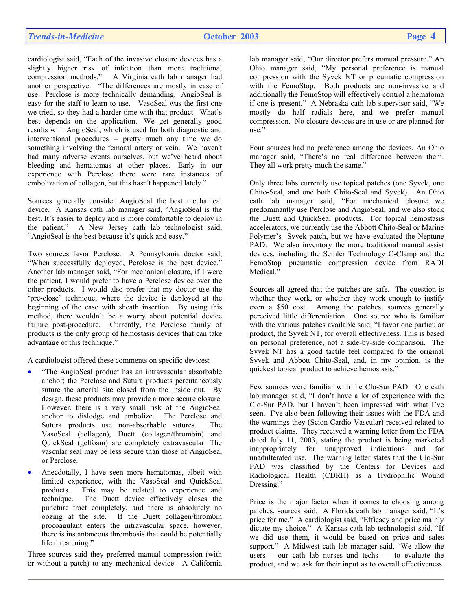cardiologist said, "Each of the invasive closure devices has a slightly higher risk of infection than more traditional compression methods." A Virginia cath lab manager had another perspective: "The differences are mostly in ease of use. Perclose is more technically demanding. AngioSeal is easy for the staff to learn to use. VasoSeal was the first one we tried, so they had a harder time with that product. What's best depends on the application. We get generally good results with AngioSeal, which is used for both diagnostic and interventional procedures -- pretty much any time we do something involving the femoral artery or vein. We haven't had many adverse events ourselves, but we've heard about bleeding and hematomas at other places. Early in our experience with Perclose there were rare instances of embolization of collagen, but this hasn't happened lately."

Sources generally consider AngioSeal the best mechanical device. A Kansas cath lab manager said, "AngioSeal is the best. It's easier to deploy and is more comfortable to deploy in the patient." A New Jersey cath lab technologist said, "AngioSeal is the best because it's quick and easy."

Two sources favor Perclose. A Pennsylvania doctor said, "When successfully deployed, Perclose is the best device." Another lab manager said, "For mechanical closure, if I were the patient, I would prefer to have a Perclose device over the other products. I would also prefer that my doctor use the 'pre-close' technique, where the device is deployed at the beginning of the case with sheath insertion. By using this method, there wouldn't be a worry about potential device failure post-procedure. Currently, the Perclose family of products is the only group of hemostasis devices that can take advantage of this technique."

A cardiologist offered these comments on specific devices:

- "The AngioSeal product has an intravascular absorbable anchor; the Perclose and Sutura products percutaneously suture the arterial site closed from the inside out. By design, these products may provide a more secure closure. However, there is a very small risk of the AngioSeal anchor to dislodge and embolize. The Perclose and Sutura products use non-absorbable sutures. The VasoSeal (collagen), Duett (collagen/thrombin) and QuickSeal (gelfoam) are completely extravascular. The vascular seal may be less secure than those of AngioSeal or Perclose.
- Anecdotally, I have seen more hematomas, albeit with limited experience, with the VasoSeal and QuickSeal products. This may be related to experience and technique. The Duett device effectively closes the puncture tract completely, and there is absolutely no oozing at the site. If the Duett collagen/thrombin procoagulant enters the intravascular space, however, there is instantaneous thrombosis that could be potentially life threatening."

Three sources said they preferred manual compression (with or without a patch) to any mechanical device. A California

lab manager said, "Our director prefers manual pressure." An Ohio manager said, "My personal preference is manual compression with the Syvek NT or pneumatic compression with the FemoStop. Both products are non-invasive and additionally the FemoStop will effectively control a hematoma if one is present." A Nebraska cath lab supervisor said, "We mostly do half radials here, and we prefer manual compression. No closure devices are in use or are planned for use."

Four sources had no preference among the devices. An Ohio manager said, "There's no real difference between them. They all work pretty much the same."

Only three labs currently use topical patches (one Syvek, one Chito-Seal, and one both Chito-Seal and Syvek). An Ohio cath lab manager said, "For mechanical closure we predominantly use Perclose and AngioSeal, and we also stock the Duett and QuickSeal products. For topical hemostasis accelerators, we currently use the Abbott Chito-Seal or Marine Polymer's Syvek patch, but we have evaluated the Neptune PAD. We also inventory the more traditional manual assist devices, including the Semler Technology C-Clamp and the FemoStop pneumatic compression device from RADI Medical."

Sources all agreed that the patches are safe. The question is whether they work, or whether they work enough to justify even a \$50 cost. Among the patches, sources generally perceived little differentiation. One source who is familiar with the various patches available said, "I favor one particular product, the Syvek NT, for overall effectiveness. This is based on personal preference, not a side-by-side comparison. The Syvek NT has a good tactile feel compared to the original Syvek and Abbott Chito-Seal, and, in my opinion, is the quickest topical product to achieve hemostasis."

Few sources were familiar with the Clo-Sur PAD. One cath lab manager said, "I don't have a lot of experience with the Clo-Sur PAD, but I haven't been impressed with what I've seen. I've also been following their issues with the FDA and the warnings they (Scion Cardio-Vascular) received related to product claims. They received a warning letter from the FDA dated July 11, 2003, stating the product is being marketed inappropriately for unapproved indications and for unadulterated use. The warning letter states that the Clo-Sur PAD was classified by the Centers for Devices and Radiological Health (CDRH) as a Hydrophilic Wound Dressing."

Price is the major factor when it comes to choosing among patches, sources said. A Florida cath lab manager said, "It's price for me." A cardiologist said, "Efficacy and price mainly dictate my choice." A Kansas cath lab technologist said, "If we did use them, it would be based on price and sales support." A Midwest cath lab manager said, "We allow the users – our cath lab nurses and techs — to evaluate the product, and we ask for their input as to overall effectiveness.